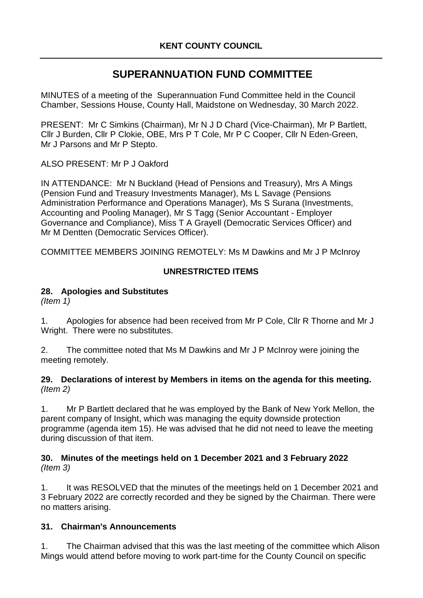# **SUPERANNUATION FUND COMMITTEE**

MINUTES of a meeting of the Superannuation Fund Committee held in the Council Chamber, Sessions House, County Hall, Maidstone on Wednesday, 30 March 2022.

PRESENT: Mr C Simkins (Chairman), Mr N J D Chard (Vice-Chairman), Mr P Bartlett, Cllr J Burden, Cllr P Clokie, OBE, Mrs P T Cole, Mr P C Cooper, Cllr N Eden-Green, Mr J Parsons and Mr P Stepto.

ALSO PRESENT: Mr P J Oakford

IN ATTENDANCE: Mr N Buckland (Head of Pensions and Treasury), Mrs A Mings (Pension Fund and Treasury Investments Manager), Ms L Savage (Pensions Administration Performance and Operations Manager), Ms S Surana (Investments, Accounting and Pooling Manager), Mr S Tagg (Senior Accountant - Employer Governance and Compliance), Miss T A Grayell (Democratic Services Officer) and Mr M Dentten (Democratic Services Officer).

COMMITTEE MEMBERS JOINING REMOTELY: Ms M Dawkins and Mr J P McInroy

# **UNRESTRICTED ITEMS**

## **28. Apologies and Substitutes**

*(Item 1)*

1. Apologies for absence had been received from Mr P Cole, Cllr R Thorne and Mr J Wright. There were no substitutes.

2. The committee noted that Ms M Dawkins and Mr J P McInroy were joining the meeting remotely.

#### **29. Declarations of interest by Members in items on the agenda for this meeting.** *(Item 2)*

1. Mr P Bartlett declared that he was employed by the Bank of New York Mellon, the parent company of Insight, which was managing the equity downside protection programme (agenda item 15). He was advised that he did not need to leave the meeting during discussion of that item.

#### **30. Minutes of the meetings held on 1 December 2021 and 3 February 2022** *(Item 3)*

1. It was RESOLVED that the minutes of the meetings held on 1 December 2021 and 3 February 2022 are correctly recorded and they be signed by the Chairman. There were no matters arising.

# **31. Chairman's Announcements**

1. The Chairman advised that this was the last meeting of the committee which Alison Mings would attend before moving to work part-time for the County Council on specific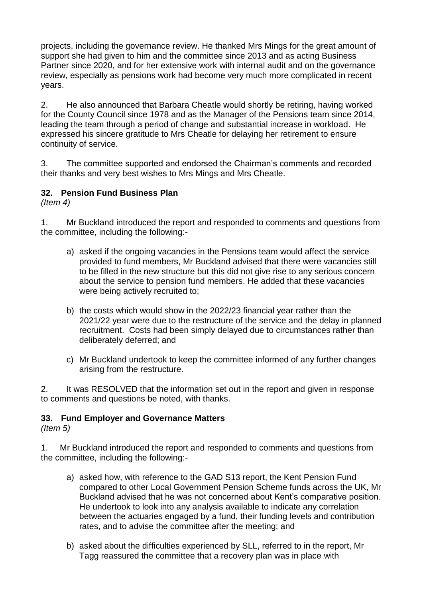projects, including the governance review. He thanked Mrs Mings for the great amount of support she had given to him and the committee since 2013 and as acting Business Partner since 2020, and for her extensive work with internal audit and on the governance review, especially as pensions work had become very much more complicated in recent years.

2. He also announced that Barbara Cheatle would shortly be retiring, having worked for the County Council since 1978 and as the Manager of the Pensions team since 2014, leading the team through a period of change and substantial increase in workload. He expressed his sincere gratitude to Mrs Cheatle for delaying her retirement to ensure continuity of service.

3. The committee supported and endorsed the Chairman's comments and recorded their thanks and very best wishes to Mrs Mings and Mrs Cheatle.

# **32. Pension Fund Business Plan**

*(Item 4)*

1. Mr Buckland introduced the report and responded to comments and questions from the committee, including the following:-

- a) asked if the ongoing vacancies in the Pensions team would affect the service provided to fund members, Mr Buckland advised that there were vacancies still to be filled in the new structure but this did not give rise to any serious concern about the service to pension fund members. He added that these vacancies were being actively recruited to;
- b) the costs which would show in the 2022/23 financial year rather than the 2021/22 year were due to the restructure of the service and the delay in planned recruitment. Costs had been simply delayed due to circumstances rather than deliberately deferred; and
- c) Mr Buckland undertook to keep the committee informed of any further changes arising from the restructure.

2. It was RESOLVED that the information set out in the report and given in response to comments and questions be noted, with thanks.

#### **33. Fund Employer and Governance Matters**

*(Item 5)*

1. Mr Buckland introduced the report and responded to comments and questions from the committee, including the following:-

- a) asked how, with reference to the GAD S13 report, the Kent Pension Fund compared to other Local Government Pension Scheme funds across the UK, Mr Buckland advised that he was not concerned about Kent's comparative position. He undertook to look into any analysis available to indicate any correlation between the actuaries engaged by a fund, their funding levels and contribution rates, and to advise the committee after the meeting; and
- b) asked about the difficulties experienced by SLL, referred to in the report, Mr Tagg reassured the committee that a recovery plan was in place with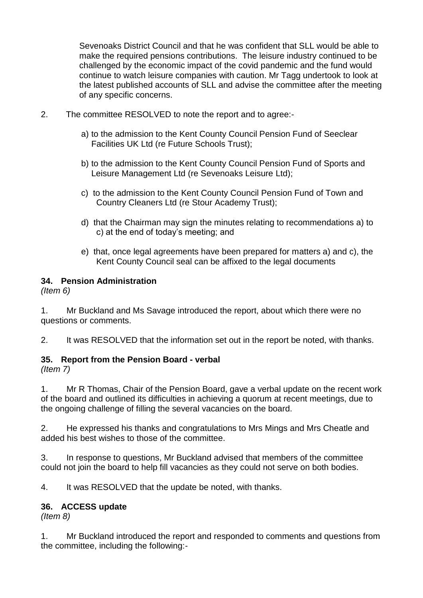Sevenoaks District Council and that he was confident that SLL would be able to make the required pensions contributions. The leisure industry continued to be challenged by the economic impact of the covid pandemic and the fund would continue to watch leisure companies with caution. Mr Tagg undertook to look at the latest published accounts of SLL and advise the committee after the meeting of any specific concerns.

- 2. The committee RESOLVED to note the report and to agree:
	- a) to the admission to the Kent County Council Pension Fund of Seeclear Facilities UK Ltd (re Future Schools Trust);
	- b) to the admission to the Kent County Council Pension Fund of Sports and Leisure Management Ltd (re Sevenoaks Leisure Ltd);
	- c) to the admission to the Kent County Council Pension Fund of Town and Country Cleaners Ltd (re Stour Academy Trust);
	- d) that the Chairman may sign the minutes relating to recommendations a) to c) at the end of today's meeting; and
	- e) that, once legal agreements have been prepared for matters a) and c), the Kent County Council seal can be affixed to the legal documents

#### **34. Pension Administration**

*(Item 6)*

1. Mr Buckland and Ms Savage introduced the report, about which there were no questions or comments.

2. It was RESOLVED that the information set out in the report be noted, with thanks.

#### **35. Report from the Pension Board - verbal**

*(Item 7)*

1. Mr R Thomas, Chair of the Pension Board, gave a verbal update on the recent work of the board and outlined its difficulties in achieving a quorum at recent meetings, due to the ongoing challenge of filling the several vacancies on the board.

2. He expressed his thanks and congratulations to Mrs Mings and Mrs Cheatle and added his best wishes to those of the committee.

3. In response to questions, Mr Buckland advised that members of the committee could not join the board to help fill vacancies as they could not serve on both bodies.

4. It was RESOLVED that the update be noted, with thanks.

#### **36. ACCESS update**

*(Item 8)*

1. Mr Buckland introduced the report and responded to comments and questions from the committee, including the following:-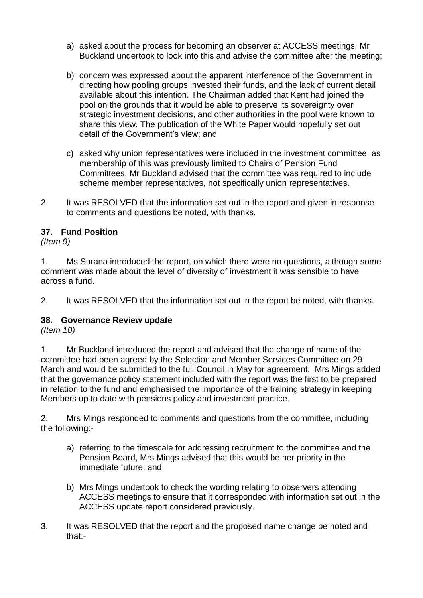- a) asked about the process for becoming an observer at ACCESS meetings, Mr Buckland undertook to look into this and advise the committee after the meeting;
- b) concern was expressed about the apparent interference of the Government in directing how pooling groups invested their funds, and the lack of current detail available about this intention. The Chairman added that Kent had joined the pool on the grounds that it would be able to preserve its sovereignty over strategic investment decisions, and other authorities in the pool were known to share this view. The publication of the White Paper would hopefully set out detail of the Government's view; and
- c) asked why union representatives were included in the investment committee, as membership of this was previously limited to Chairs of Pension Fund Committees, Mr Buckland advised that the committee was required to include scheme member representatives, not specifically union representatives.
- 2. It was RESOLVED that the information set out in the report and given in response to comments and questions be noted, with thanks.

# **37. Fund Position**

*(Item 9)*

1. Ms Surana introduced the report, on which there were no questions, although some comment was made about the level of diversity of investment it was sensible to have across a fund.

2. It was RESOLVED that the information set out in the report be noted, with thanks.

#### **38. Governance Review update**

*(Item 10)*

1. Mr Buckland introduced the report and advised that the change of name of the committee had been agreed by the Selection and Member Services Committee on 29 March and would be submitted to the full Council in May for agreement. Mrs Mings added that the governance policy statement included with the report was the first to be prepared in relation to the fund and emphasised the importance of the training strategy in keeping Members up to date with pensions policy and investment practice.

2. Mrs Mings responded to comments and questions from the committee, including the following:-

- a) referring to the timescale for addressing recruitment to the committee and the Pension Board, Mrs Mings advised that this would be her priority in the immediate future; and
- b) Mrs Mings undertook to check the wording relating to observers attending ACCESS meetings to ensure that it corresponded with information set out in the ACCESS update report considered previously.
- 3. It was RESOLVED that the report and the proposed name change be noted and that:-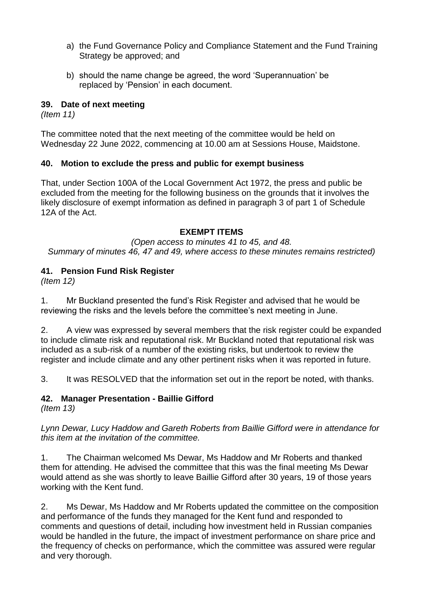- a) the Fund Governance Policy and Compliance Statement and the Fund Training Strategy be approved; and
- b) should the name change be agreed, the word 'Superannuation' be replaced by 'Pension' in each document.

#### **39. Date of next meeting**

*(Item 11)*

The committee noted that the next meeting of the committee would be held on Wednesday 22 June 2022, commencing at 10.00 am at Sessions House, Maidstone.

## **40. Motion to exclude the press and public for exempt business**

That, under Section 100A of the Local Government Act 1972, the press and public be excluded from the meeting for the following business on the grounds that it involves the likely disclosure of exempt information as defined in paragraph 3 of part 1 of Schedule 12A of the Act.

## **EXEMPT ITEMS**

*(Open access to minutes 41 to 45, and 48. Summary of minutes 46, 47 and 49, where access to these minutes remains restricted)*

# **41. Pension Fund Risk Register**

*(Item 12)*

1. Mr Buckland presented the fund's Risk Register and advised that he would be reviewing the risks and the levels before the committee's next meeting in June.

2. A view was expressed by several members that the risk register could be expanded to include climate risk and reputational risk. Mr Buckland noted that reputational risk was included as a sub-risk of a number of the existing risks, but undertook to review the register and include climate and any other pertinent risks when it was reported in future.

3. It was RESOLVED that the information set out in the report be noted, with thanks.

# **42. Manager Presentation - Baillie Gifford**

*(Item 13)*

*Lynn Dewar, Lucy Haddow and Gareth Roberts from Baillie Gifford were in attendance for this item at the invitation of the committee.* 

1. The Chairman welcomed Ms Dewar, Ms Haddow and Mr Roberts and thanked them for attending. He advised the committee that this was the final meeting Ms Dewar would attend as she was shortly to leave Baillie Gifford after 30 years, 19 of those years working with the Kent fund.

2. Ms Dewar, Ms Haddow and Mr Roberts updated the committee on the composition and performance of the funds they managed for the Kent fund and responded to comments and questions of detail, including how investment held in Russian companies would be handled in the future, the impact of investment performance on share price and the frequency of checks on performance, which the committee was assured were regular and very thorough.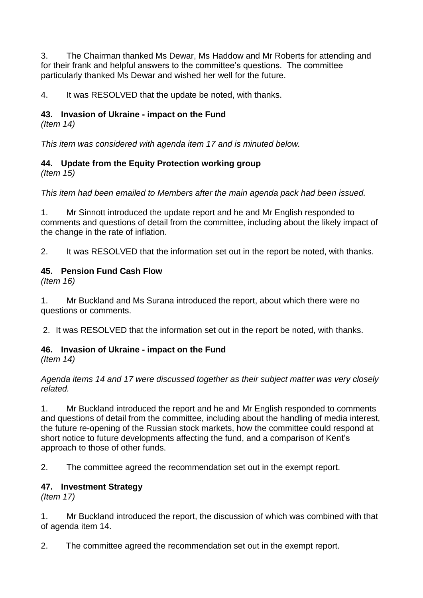3. The Chairman thanked Ms Dewar, Ms Haddow and Mr Roberts for attending and for their frank and helpful answers to the committee's questions. The committee particularly thanked Ms Dewar and wished her well for the future.

4. It was RESOLVED that the update be noted, with thanks.

## **43. Invasion of Ukraine - impact on the Fund**

*(Item 14)*

*This item was considered with agenda item 17 and is minuted below.* 

## **44. Update from the Equity Protection working group**

*(Item 15)*

*This item had been emailed to Members after the main agenda pack had been issued.* 

1. Mr Sinnott introduced the update report and he and Mr English responded to comments and questions of detail from the committee, including about the likely impact of the change in the rate of inflation.

2. It was RESOLVED that the information set out in the report be noted, with thanks.

#### **45. Pension Fund Cash Flow**

*(Item 16)*

1. Mr Buckland and Ms Surana introduced the report, about which there were no questions or comments.

2. It was RESOLVED that the information set out in the report be noted, with thanks.

#### **46. Invasion of Ukraine - impact on the Fund**

*(Item 14)*

*Agenda items 14 and 17 were discussed together as their subject matter was very closely related.*

1. Mr Buckland introduced the report and he and Mr English responded to comments and questions of detail from the committee, including about the handling of media interest, the future re-opening of the Russian stock markets, how the committee could respond at short notice to future developments affecting the fund, and a comparison of Kent's approach to those of other funds.

2. The committee agreed the recommendation set out in the exempt report.

#### **47. Investment Strategy**

*(Item 17)*

1. Mr Buckland introduced the report, the discussion of which was combined with that of agenda item 14.

2. The committee agreed the recommendation set out in the exempt report.